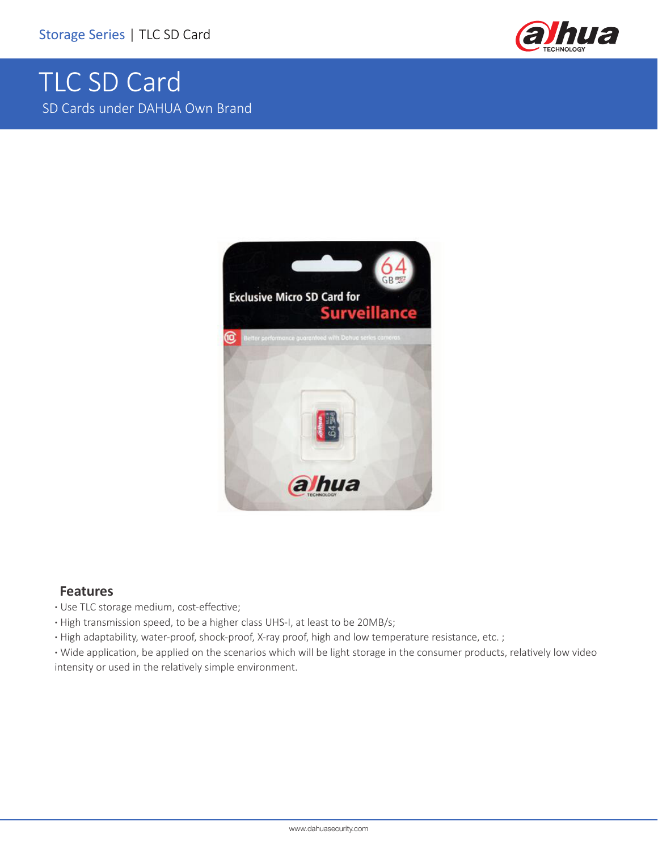

## TLC SD Card SD Cards under DAHUA Own Brand



## **Features**

**·** Use TLC storage medium, cost-effective;

**·** High transmission speed, to be a higher class UHS-I, at least to be 20MB/s;

**·** High adaptability, water-proof, shock-proof, X-ray proof, high and low temperature resistance, etc. ;

**·** Wide application, be applied on the scenarios which will be light storage in the consumer products, relatively low video intensity or used in the relatively simple environment.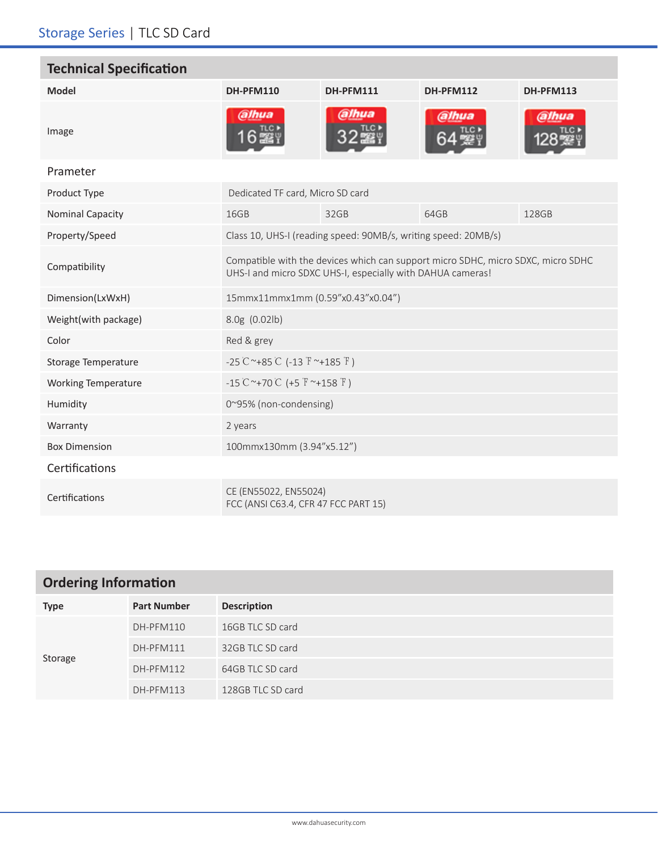×

| <b>Technical Specification</b> |                                                                                                                                                |           |           |                  |  |
|--------------------------------|------------------------------------------------------------------------------------------------------------------------------------------------|-----------|-----------|------------------|--|
| <b>Model</b>                   | <b>DH-PFM110</b>                                                                                                                               | DH-PFM111 | DH-PFM112 | <b>DH-PFM113</b> |  |
| Image                          | alhua                                                                                                                                          | @lhua     | alhua)    | (alhua           |  |
| Prameter                       |                                                                                                                                                |           |           |                  |  |
| Product Type                   | Dedicated TF card, Micro SD card                                                                                                               |           |           |                  |  |
| <b>Nominal Capacity</b>        | 16GB                                                                                                                                           | 32GB      | 64GB      | 128GB            |  |
| Property/Speed                 | Class 10, UHS-I (reading speed: 90MB/s, writing speed: 20MB/s)                                                                                 |           |           |                  |  |
| Compatibility                  | Compatible with the devices which can support micro SDHC, micro SDXC, micro SDHC<br>UHS-I and micro SDXC UHS-I, especially with DAHUA cameras! |           |           |                  |  |
| Dimension(LxWxH)               | 15mmx11mmx1mm (0.59"x0.43"x0.04")                                                                                                              |           |           |                  |  |
| Weight(with package)           | 8.0g (0.02lb)                                                                                                                                  |           |           |                  |  |
| Color                          | Red & grey                                                                                                                                     |           |           |                  |  |
| <b>Storage Temperature</b>     | $-25^{\circ}$ C ~+85 $^{\circ}$ C (-13 $^{\circ}$ F ~+185 $^{\circ}$ F)                                                                        |           |           |                  |  |
| <b>Working Temperature</b>     | $-15^{\circ}$ C ~+70 $\circ$ C (+5 $\circ$ F ~+158 $\circ$ F)                                                                                  |           |           |                  |  |
| Humidity                       | 0~95% (non-condensing)                                                                                                                         |           |           |                  |  |
| Warranty                       | 2 years                                                                                                                                        |           |           |                  |  |
| <b>Box Dimension</b>           | 100mmx130mm (3.94"x5.12")                                                                                                                      |           |           |                  |  |
| Certifications                 |                                                                                                                                                |           |           |                  |  |
| Certifications                 | CE (EN55022, EN55024)<br>FCC (ANSI C63.4, CFR 47 FCC PART 15)                                                                                  |           |           |                  |  |

| <b>Ordering Information</b> |                    |                    |  |
|-----------------------------|--------------------|--------------------|--|
| <b>Type</b>                 | <b>Part Number</b> | <b>Description</b> |  |
| Storage                     | DH-PFM110          | 16GB TLC SD card   |  |
|                             | DH-PFM111          | 32GB TLC SD card   |  |
|                             | DH-PFM112          | 64GB TLC SD card   |  |
|                             | DH-PFM113          | 128GB TLC SD card  |  |